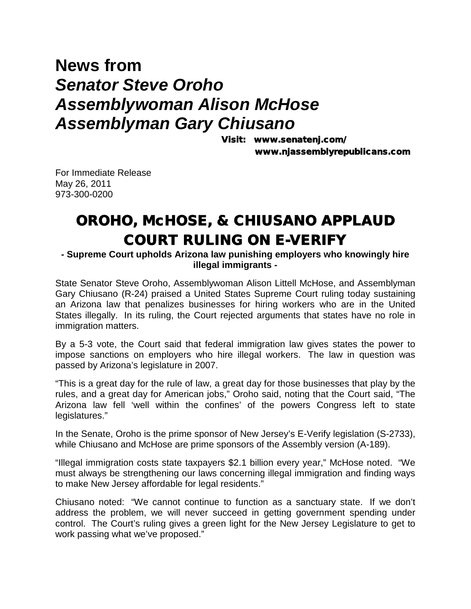## **News from**  *Senator Steve Oroho Assemblywoman Alison McHose Assemblyman Gary Chiusano*

Visit: www.senatenj.com/ www.njassemblyrepublicans.com

For Immediate Release May 26, 2011 973-300-0200

## OROHO, McHOSE, & CHIUSANO APPLAUD COURT RULING ON E-VERIFY

**- Supreme Court upholds Arizona law punishing employers who knowingly hire illegal immigrants -**

State Senator Steve Oroho, Assemblywoman Alison Littell McHose, and Assemblyman Gary Chiusano (R-24) praised a United States Supreme Court ruling today sustaining an Arizona law that penalizes businesses for hiring workers who are in the United States illegally. In its ruling, the Court rejected arguments that states have no role in immigration matters.

By a 5-3 vote, the Court said that federal immigration law gives states the power to impose sanctions on employers who hire illegal workers. The law in question was passed by Arizona's legislature in 2007.

"This is a great day for the rule of law, a great day for those businesses that play by the rules, and a great day for American jobs," Oroho said, noting that the Court said, "The Arizona law fell 'well within the confines' of the powers Congress left to state legislatures."

In the Senate, Oroho is the prime sponsor of New Jersey's E-Verify legislation (S-2733), while Chiusano and McHose are prime sponsors of the Assembly version (A-189).

"Illegal immigration costs state taxpayers \$2.1 billion every year," McHose noted. "We must always be strengthening our laws concerning illegal immigration and finding ways to make New Jersey affordable for legal residents."

Chiusano noted: "We cannot continue to function as a sanctuary state. If we don't address the problem, we will never succeed in getting government spending under control. The Court's ruling gives a green light for the New Jersey Legislature to get to work passing what we've proposed."